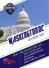